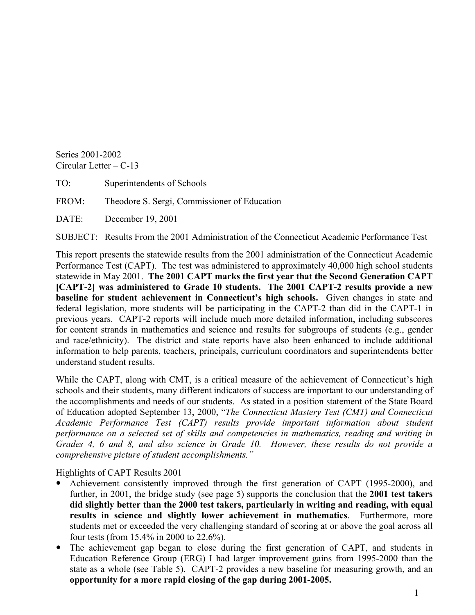Series 2001-2002 Circular Letter  $-$  C-13

TO: Superintendents of Schools

FROM: Theodore S. Sergi, Commissioner of Education

DATE: December 19, 2001

SUBJECT: Results From the 2001 Administration of the Connecticut Academic Performance Test

This report presents the statewide results from the 2001 administration of the Connecticut Academic Performance Test (CAPT). The test was administered to approximately 40,000 high school students statewide in May 2001. **The 2001 CAPT marks the first year that the Second Generation CAPT [CAPT-2] was administered to Grade 10 students. The 2001 CAPT-2 results provide a new baseline for student achievement in Connecticut's high schools.** Given changes in state and federal legislation, more students will be participating in the CAPT-2 than did in the CAPT-1 in previous years. CAPT-2 reports will include much more detailed information, including subscores for content strands in mathematics and science and results for subgroups of students (e.g., gender and race/ethnicity). The district and state reports have also been enhanced to include additional information to help parents, teachers, principals, curriculum coordinators and superintendents better understand student results.

While the CAPT, along with CMT, is a critical measure of the achievement of Connecticut's high schools and their students, many different indicators of success are important to our understanding of the accomplishments and needs of our students. As stated in a position statement of the State Board of Education adopted September 13, 2000, "*The Connecticut Mastery Test (CMT) and Connecticut Academic Performance Test (CAPT) results provide important information about student performance on a selected set of skills and competencies in mathematics, reading and writing in Grades 4, 6 and 8, and also science in Grade 10. However, these results do not provide a comprehensive picture of student accomplishments."* 

Highlights of CAPT Results 2001

- Achievement consistently improved through the first generation of CAPT (1995-2000), and further, in 2001, the bridge study (see page 5) supports the conclusion that the **2001 test takers did slightly better than the 2000 test takers, particularly in writing and reading, with equal results in science and slightly lower achievement in mathematics**. Furthermore, more students met or exceeded the very challenging standard of scoring at or above the goal across all four tests (from 15.4% in 2000 to 22.6%).
- The achievement gap began to close during the first generation of CAPT, and students in Education Reference Group (ERG) I had larger improvement gains from 1995-2000 than the state as a whole (see Table 5). CAPT-2 provides a new baseline for measuring growth, and an **opportunity for a more rapid closing of the gap during 2001-2005.**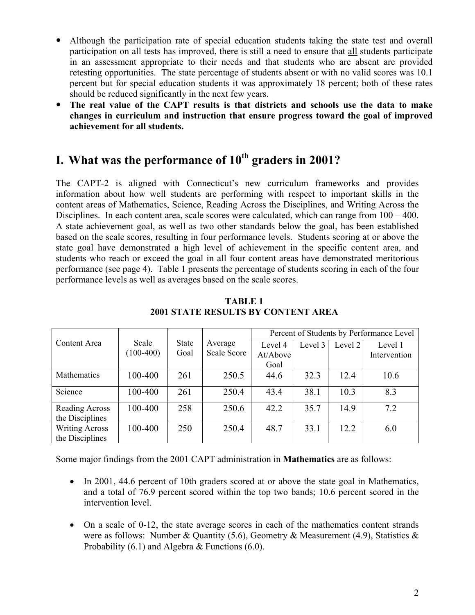- Although the participation rate of special education students taking the state test and overall participation on all tests has improved, there is still a need to ensure that all students participate in an assessment appropriate to their needs and that students who are absent are provided retesting opportunities. The state percentage of students absent or with no valid scores was 10.1 percent but for special education students it was approximately 18 percent; both of these rates should be reduced significantly in the next few years.
- y **The real value of the CAPT results is that districts and schools use the data to make changes in curriculum and instruction that ensure progress toward the goal of improved achievement for all students.**

## **I. What was the performance of 10<sup>th</sup> graders in 2001?**

The CAPT-2 is aligned with Connecticut's new curriculum frameworks and provides information about how well students are performing with respect to important skills in the content areas of Mathematics, Science, Reading Across the Disciplines, and Writing Across the Disciplines. In each content area, scale scores were calculated, which can range from  $100 - 400$ . A state achievement goal, as well as two other standards below the goal, has been established based on the scale scores, resulting in four performance levels. Students scoring at or above the state goal have demonstrated a high level of achievement in the specific content area, and students who reach or exceed the goal in all four content areas have demonstrated meritorious performance (see page 4). Table 1 presents the percentage of students scoring in each of the four performance levels as well as averages based on the scale scores.

|                       |             |              |                    | Percent of Students by Performance Level |         |         |              |  |  |
|-----------------------|-------------|--------------|--------------------|------------------------------------------|---------|---------|--------------|--|--|
| Content Area          | Scale       | <b>State</b> | Average            | Level 4                                  | Level 3 | Level 2 | Level 1      |  |  |
|                       | $(100-400)$ | Goal         | <b>Scale Score</b> | At/Above                                 |         |         | Intervention |  |  |
|                       |             |              |                    | Goal                                     |         |         |              |  |  |
| Mathematics           | 100-400     | 261          | 250.5              | 44.6                                     | 32.3    | 12.4    | 10.6         |  |  |
| Science               | 100-400     | 261          | 250.4              | 43.4                                     | 38.1    | 10.3    | 8.3          |  |  |
| Reading Across        | 100-400     | 258          | 250.6              | 42.2                                     | 35.7    | 14.9    | 7.2          |  |  |
| the Disciplines       |             |              |                    |                                          |         |         |              |  |  |
| <b>Writing Across</b> | 100-400     | 250          | 250.4              | 48.7                                     | 33.1    | 12.2    | 6.0          |  |  |
| the Disciplines       |             |              |                    |                                          |         |         |              |  |  |

**TABLE 1 2001 STATE RESULTS BY CONTENT AREA** 

Some major findings from the 2001 CAPT administration in **Mathematics** are as follows:

- In 2001, 44.6 percent of 10th graders scored at or above the state goal in Mathematics, and a total of 76.9 percent scored within the top two bands; 10.6 percent scored in the intervention level.
- On a scale of 0-12, the state average scores in each of the mathematics content strands were as follows: Number & Quantity (5.6), Geometry & Measurement (4.9), Statistics & Probability (6.1) and Algebra & Functions (6.0).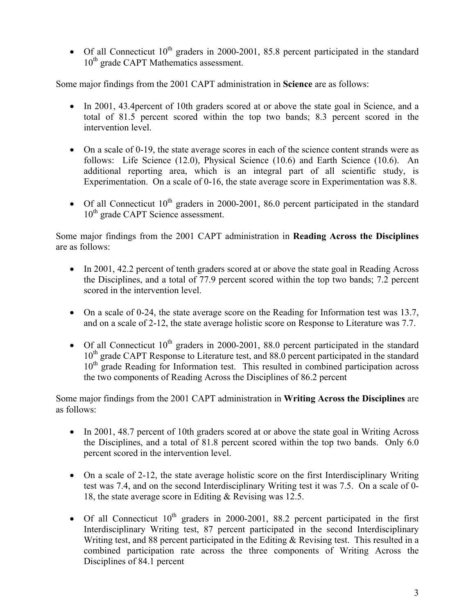• Of all Connecticut  $10^{th}$  graders in 2000-2001, 85.8 percent participated in the standard 10<sup>th</sup> grade CAPT Mathematics assessment.

Some major findings from the 2001 CAPT administration in **Science** are as follows:

- In 2001, 43.4 percent of 10th graders scored at or above the state goal in Science, and a total of 81.5 percent scored within the top two bands; 8.3 percent scored in the intervention level.
- On a scale of 0-19, the state average scores in each of the science content strands were as follows: Life Science (12.0), Physical Science (10.6) and Earth Science (10.6). An additional reporting area, which is an integral part of all scientific study, is Experimentation. On a scale of 0-16, the state average score in Experimentation was 8.8.
- Of all Connecticut  $10^{th}$  graders in 2000-2001, 86.0 percent participated in the standard 10<sup>th</sup> grade CAPT Science assessment.

Some major findings from the 2001 CAPT administration in **Reading Across the Disciplines**  are as follows:

- In 2001, 42.2 percent of tenth graders scored at or above the state goal in Reading Across the Disciplines, and a total of 77.9 percent scored within the top two bands; 7.2 percent scored in the intervention level.
- On a scale of 0-24, the state average score on the Reading for Information test was 13.7, and on a scale of 2-12, the state average holistic score on Response to Literature was 7.7.
- Of all Connecticut  $10^{th}$  graders in 2000-2001, 88.0 percent participated in the standard 10<sup>th</sup> grade CAPT Response to Literature test, and 88.0 percent participated in the standard  $10<sup>th</sup>$  grade Reading for Information test. This resulted in combined participation across the two components of Reading Across the Disciplines of 86.2 percent

Some major findings from the 2001 CAPT administration in **Writing Across the Disciplines** are as follows:

- In 2001, 48.7 percent of 10th graders scored at or above the state goal in Writing Across the Disciplines, and a total of 81.8 percent scored within the top two bands. Only 6.0 percent scored in the intervention level.
- On a scale of 2-12, the state average holistic score on the first Interdisciplinary Writing test was 7.4, and on the second Interdisciplinary Writing test it was 7.5. On a scale of 0- 18, the state average score in Editing & Revising was 12.5.
- Of all Connecticut  $10^{th}$  graders in 2000-2001, 88.2 percent participated in the first Interdisciplinary Writing test, 87 percent participated in the second Interdisciplinary Writing test, and 88 percent participated in the Editing & Revising test. This resulted in a combined participation rate across the three components of Writing Across the Disciplines of 84.1 percent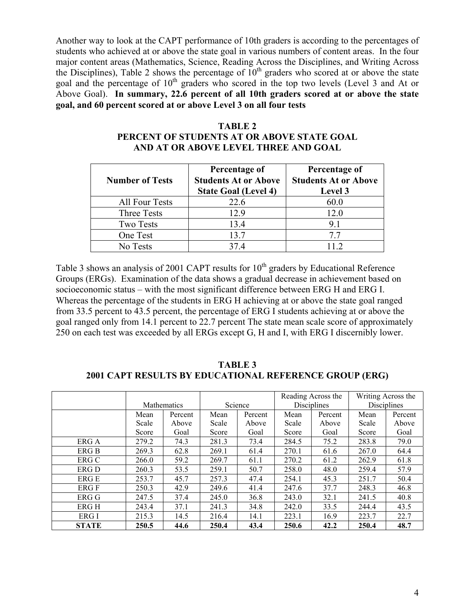Another way to look at the CAPT performance of 10th graders is according to the percentages of students who achieved at or above the state goal in various numbers of content areas. In the four major content areas (Mathematics, Science, Reading Across the Disciplines, and Writing Across the Disciplines), Table 2 shows the percentage of  $10<sup>th</sup>$  graders who scored at or above the state goal and the percentage of  $10<sup>th</sup>$  graders who scored in the top two levels (Level 3 and At or Above Goal). **In summary, 22.6 percent of all 10th graders scored at or above the state goal, and 60 percent scored at or above Level 3 on all four tests** 

| <b>Number of Tests</b> | Percentage of<br><b>Students At or Above</b><br><b>State Goal (Level 4)</b> | Percentage of<br><b>Students At or Above</b><br>Level 3 |
|------------------------|-----------------------------------------------------------------------------|---------------------------------------------------------|
| <b>All Four Tests</b>  | 22.6                                                                        | 60.0                                                    |
| Three Tests            | 12.9                                                                        | 12.0                                                    |
| <b>Two Tests</b>       | 13.4                                                                        | 9.1                                                     |
| One Test               | 13.7                                                                        | 77                                                      |
| No Tests               | 374                                                                         |                                                         |

#### **TABLE 2 PERCENT OF STUDENTS AT OR ABOVE STATE GOAL AND AT OR ABOVE LEVEL THREE AND GOAL**

Table 3 shows an analysis of 2001 CAPT results for  $10<sup>th</sup>$  graders by Educational Reference Groups (ERGs). Examination of the data shows a gradual decrease in achievement based on socioeconomic status – with the most significant difference between ERG H and ERG I. Whereas the percentage of the students in ERG H achieving at or above the state goal ranged from 33.5 percent to 43.5 percent, the percentage of ERG I students achieving at or above the goal ranged only from 14.1 percent to 22.7 percent The state mean scale score of approximately 250 on each test was exceeded by all ERGs except G, H and I, with ERG I discernibly lower.

**TABLE 3 2001 CAPT RESULTS BY EDUCATIONAL REFERENCE GROUP (ERG)** 

|              |       |             |         |         | Reading Across the |         |       | Writing Across the |
|--------------|-------|-------------|---------|---------|--------------------|---------|-------|--------------------|
|              |       | Mathematics | Science |         | <b>Disciplines</b> |         |       | <b>Disciplines</b> |
|              | Mean  | Percent     | Mean    | Percent | Mean               | Percent | Mean  | Percent            |
|              | Scale | Above       | Scale   | Above   | Scale              | Above   | Scale | Above              |
|              | Score | Goal        | Score   | Goal    | Score              | Goal    | Score | Goal               |
| ERG A        | 279.2 | 74.3        | 281.3   | 73.4    | 284.5              | 75.2    | 283.8 | 79.0               |
| ERG B        | 269.3 | 62.8        | 269.1   | 61.4    | 270.1              | 61.6    | 267.0 | 64.4               |
| ERG C        | 266.0 | 59.2        | 269.7   | 61.1    | 270.2              | 61.2    | 262.9 | 61.8               |
| ERG D        | 260.3 | 53.5        | 259.1   | 50.7    | 258.0              | 48.0    | 259.4 | 57.9               |
| ERG E        | 253.7 | 45.7        | 257.3   | 47.4    | 254.1              | 45.3    | 251.7 | 50.4               |
| ERG F        | 250.3 | 42.9        | 249.6   | 41.4    | 247.6              | 37.7    | 248.3 | 46.8               |
| ERG G        | 247.5 | 37.4        | 245.0   | 36.8    | 243.0              | 32.1    | 241.5 | 40.8               |
| ERG H        | 243.4 | 37.1        | 241.3   | 34.8    | 242.0              | 33.5    | 244.4 | 43.5               |
| ERG I        | 215.3 | 14.5        | 216.4   | 14.1    | 223.1              | 16.9    | 223.7 | 22.7               |
| <b>STATE</b> | 250.5 | 44.6        | 250.4   | 43.4    | 250.6              | 42.2    | 250.4 | 48.7               |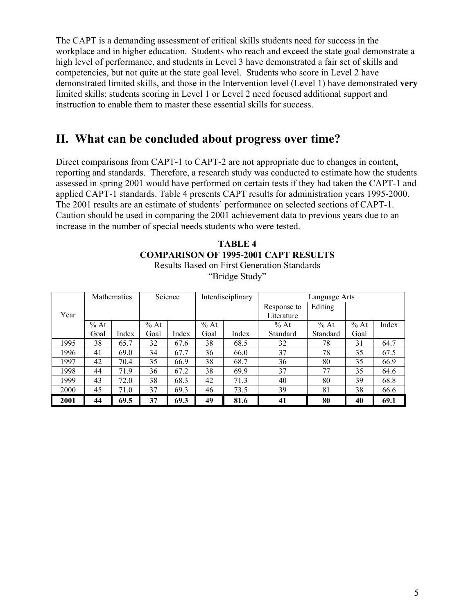The CAPT is a demanding assessment of critical skills students need for success in the workplace and in higher education. Students who reach and exceed the state goal demonstrate a high level of performance, and students in Level 3 have demonstrated a fair set of skills and competencies, but not quite at the state goal level. Students who score in Level 2 have demonstrated limited skills, and those in the Intervention level (Level 1) have demonstrated **very**  limited skills; students scoring in Level 1 or Level 2 need focused additional support and instruction to enable them to master these essential skills for success.

### **II. What can be concluded about progress over time?**

Direct comparisons from CAPT-1 to CAPT-2 are not appropriate due to changes in content, reporting and standards. Therefore, a research study was conducted to estimate how the students assessed in spring 2001 would have performed on certain tests if they had taken the CAPT-1 and applied CAPT-1 standards. Table 4 presents CAPT results for administration years 1995-2000. The 2001 results are an estimate of students' performance on selected sections of CAPT-1. Caution should be used in comparing the 2001 achievement data to previous years due to an increase in the number of special needs students who were tested.

| TABLE 4                                            |  |  |  |  |  |  |  |  |  |  |
|----------------------------------------------------|--|--|--|--|--|--|--|--|--|--|
| <b>COMPARISON OF 1995-2001 CAPT RESULTS</b>        |  |  |  |  |  |  |  |  |  |  |
| <b>Results Based on First Generation Standards</b> |  |  |  |  |  |  |  |  |  |  |
| "Bridge Study"                                     |  |  |  |  |  |  |  |  |  |  |

|      |        | <b>Mathematics</b> |        | Science | Interdisciplinary |       |             | Language Arts |      |       |
|------|--------|--------------------|--------|---------|-------------------|-------|-------------|---------------|------|-------|
|      |        |                    |        |         |                   |       | Response to | Editing       |      |       |
| Year |        |                    |        |         |                   |       | Literature  |               |      |       |
|      | $%$ At |                    | $%$ At |         | $%$ At            |       | $%$ At      | $%$ At        | % At | Index |
|      | Goal   | Index              | Goal   | Index   | Goal              | Index | Standard    | Standard      | Goal |       |
| 1995 | 38     | 65.7               | 32     | 67.6    | 38                | 68.5  | 32          | 78            | 31   | 64.7  |
| 1996 | 41     | 69.0               | 34     | 67.7    | 36                | 66.0  | 37          | 78            | 35   | 67.5  |
| 1997 | 42     | 70.4               | 35     | 66.9    | 38                | 68.7  | 36          | 80            | 35   | 66.9  |
| 1998 | 44     | 71.9               | 36     | 67.2    | 38                | 69.9  | 37          | 77            | 35   | 64.6  |
| 1999 | 43     | 72.0               | 38     | 68.3    | 42                | 71.3  | 40          | 80            | 39   | 68.8  |
| 2000 | 45     | 71.0               | 37     | 69.3    | 46                | 73.5  | 39          | 81            | 38   | 66.6  |
| 2001 | 44     | 69.5               | 37     | 69.3    | 49                | 81.6  | 41          | 80            | 40   | 69.1  |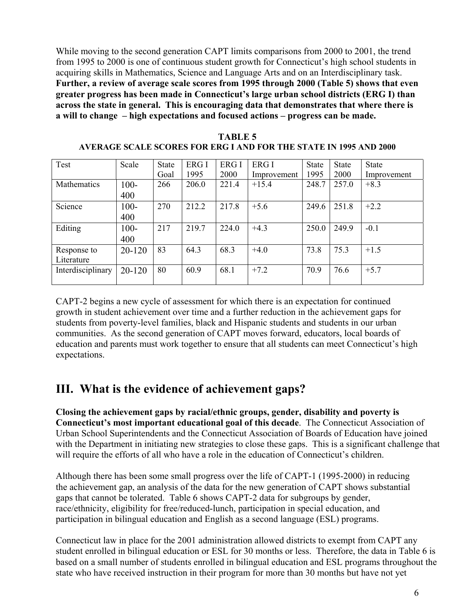While moving to the second generation CAPT limits comparisons from 2000 to 2001, the trend from 1995 to 2000 is one of continuous student growth for Connecticut's high school students in acquiring skills in Mathematics, Science and Language Arts and on an Interdisciplinary task. **Further, a review of average scale scores from 1995 through 2000 (Table 5) shows that even greater progress has been made in Connecticut's large urban school districts (ERG I) than across the state in general. This is encouraging data that demonstrates that where there is a will to change – high expectations and focused actions – progress can be made.** 

| Test              | Scale      | State | ERG I | ERG I | ERG I       | <b>State</b> | <b>State</b> | <b>State</b> |
|-------------------|------------|-------|-------|-------|-------------|--------------|--------------|--------------|
|                   |            | Goal  | 1995  | 2000  | Improvement | 1995         | 2000         | Improvement  |
| Mathematics       | $100 -$    | 266   | 206.0 | 221.4 | $+15.4$     | 248.7        | 257.0        | $+8.3$       |
|                   | 400        |       |       |       |             |              |              |              |
| Science           | $100 -$    | 270   | 212.2 | 217.8 | $+5.6$      | 249.6        | 251.8        | $+2.2$       |
|                   | 400        |       |       |       |             |              |              |              |
| Editing           | $100 -$    | 217   | 219.7 | 224.0 | $+4.3$      | 250.0        | 249.9        | $-0.1$       |
|                   | 400        |       |       |       |             |              |              |              |
| Response to       | $20 - 120$ | 83    | 64.3  | 68.3  | $+4.0$      | 73.8         | 75.3         | $+1.5$       |
| Literature        |            |       |       |       |             |              |              |              |
| Interdisciplinary | 20-120     | 80    | 60.9  | 68.1  | $+7.2$      | 70.9         | 76.6         | $+5.7$       |
|                   |            |       |       |       |             |              |              |              |

**TABLE 5 AVERAGE SCALE SCORES FOR ERG I AND FOR THE STATE IN 1995 AND 2000** 

CAPT-2 begins a new cycle of assessment for which there is an expectation for continued growth in student achievement over time and a further reduction in the achievement gaps for students from poverty-level families, black and Hispanic students and students in our urban communities. As the second generation of CAPT moves forward, educators, local boards of education and parents must work together to ensure that all students can meet Connecticut's high expectations.

## **III. What is the evidence of achievement gaps?**

**Closing the achievement gaps by racial/ethnic groups, gender, disability and poverty is Connecticut's most important educational goal of this decade**. The Connecticut Association of Urban School Superintendents and the Connecticut Association of Boards of Education have joined with the Department in initiating new strategies to close these gaps. This is a significant challenge that will require the efforts of all who have a role in the education of Connecticut's children.

Although there has been some small progress over the life of CAPT-1 (1995-2000) in reducing the achievement gap, an analysis of the data for the new generation of CAPT shows substantial gaps that cannot be tolerated. Table 6 shows CAPT-2 data for subgroups by gender, race/ethnicity, eligibility for free/reduced-lunch, participation in special education, and participation in bilingual education and English as a second language (ESL) programs.

Connecticut law in place for the 2001 administration allowed districts to exempt from CAPT any student enrolled in bilingual education or ESL for 30 months or less. Therefore, the data in Table 6 is based on a small number of students enrolled in bilingual education and ESL programs throughout the state who have received instruction in their program for more than 30 months but have not yet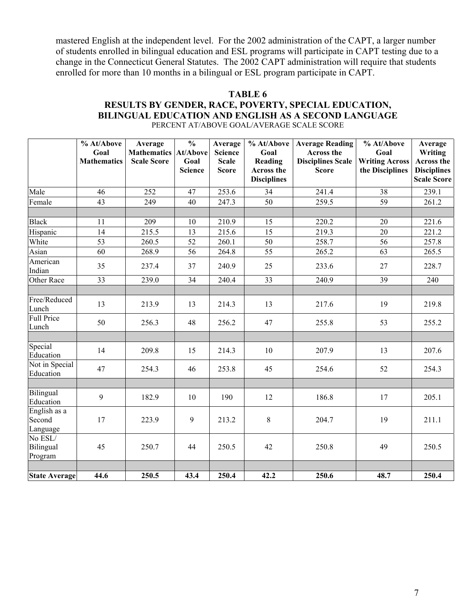mastered English at the independent level. For the 2002 administration of the CAPT, a larger number of students enrolled in bilingual education and ESL programs will participate in CAPT testing due to a change in the Connecticut General Statutes. The 2002 CAPT administration will require that students enrolled for more than 10 months in a bilingual or ESL program participate in CAPT.

#### **TABLE 6 RESULTS BY GENDER, RACE, POVERTY, SPECIAL EDUCATION, BILINGUAL EDUCATION AND ENGLISH AS A SECOND LANGUAGE**  PERCENT AT/ABOVE GOAL/AVERAGE SCALE SCORE

|                                    | % At/Above<br>Goal<br><b>Mathematics</b> | Average<br><b>Mathematics</b><br><b>Scale Score</b> | $\overline{\frac{0}{0}}$<br><b>At/Above</b><br>Goal<br><b>Science</b> | Average<br><b>Science</b><br><b>Scale</b><br><b>Score</b> | % At/Above<br>Goal<br>Reading<br>Across the<br><b>Disciplines</b> | <b>Average Reading</b><br><b>Across the</b><br><b>Disciplines Scale</b><br><b>Score</b> | % At/Above<br>Goal<br><b>Writing Across</b><br>the Disciplines | Average<br><b>Writing</b><br>Across the<br><b>Disciplines</b><br><b>Scale Score</b> |
|------------------------------------|------------------------------------------|-----------------------------------------------------|-----------------------------------------------------------------------|-----------------------------------------------------------|-------------------------------------------------------------------|-----------------------------------------------------------------------------------------|----------------------------------------------------------------|-------------------------------------------------------------------------------------|
| Male                               | 46                                       | 252                                                 | 47                                                                    | 253.6                                                     | 34                                                                | 241.4                                                                                   | 38                                                             | 239.1                                                                               |
| Female                             | 43                                       | 249                                                 | 40                                                                    | 247.3                                                     | 50                                                                | 259.5                                                                                   | 59                                                             | 261.2                                                                               |
|                                    |                                          |                                                     |                                                                       |                                                           |                                                                   |                                                                                         |                                                                |                                                                                     |
| <b>Black</b>                       | 11                                       | 209                                                 | 10                                                                    | 210.9                                                     | 15                                                                | 220.2                                                                                   | 20                                                             | 221.6                                                                               |
| Hispanic                           | 14                                       | 215.5                                               | 13                                                                    | 215.6                                                     | 15                                                                | 219.3                                                                                   | 20                                                             | 221.2                                                                               |
| White                              | $\overline{53}$                          | 260.5                                               | $\overline{52}$                                                       | 260.1                                                     | 50                                                                | 258.7                                                                                   | 56                                                             | 257.8                                                                               |
| Asian                              | $\overline{60}$                          | 268.9                                               | 56                                                                    | 264.8                                                     | 55                                                                | 265.2                                                                                   | 63                                                             | 265.5                                                                               |
| American<br>Indian                 | 35                                       | 237.4                                               | 37                                                                    | 240.9                                                     | 25                                                                | 233.6                                                                                   | 27                                                             | 228.7                                                                               |
| Other Race                         | 33                                       | 239.0                                               | 34                                                                    | 240.4                                                     | 33                                                                | 240.9                                                                                   | 39                                                             | 240                                                                                 |
|                                    |                                          |                                                     |                                                                       |                                                           |                                                                   |                                                                                         |                                                                |                                                                                     |
| Free/Reduced<br>Lunch              | 13                                       | 213.9                                               | 13                                                                    | 214.3                                                     | 13                                                                | 217.6                                                                                   | 19                                                             | 219.8                                                                               |
| <b>Full Price</b><br>Lunch         | 50                                       | 256.3                                               | 48                                                                    | 256.2                                                     | 47                                                                | 255.8                                                                                   | 53                                                             | 255.2                                                                               |
|                                    |                                          |                                                     |                                                                       |                                                           |                                                                   |                                                                                         |                                                                |                                                                                     |
| Special<br>Education               | 14                                       | 209.8                                               | 15                                                                    | 214.3                                                     | 10                                                                | 207.9                                                                                   | 13                                                             | 207.6                                                                               |
| Not in Special<br>Education        | 47                                       | 254.3                                               | 46                                                                    | 253.8                                                     | 45                                                                | 254.6                                                                                   | 52                                                             | 254.3                                                                               |
|                                    |                                          |                                                     |                                                                       |                                                           |                                                                   |                                                                                         |                                                                |                                                                                     |
| Bilingual<br>Education             | 9                                        | 182.9                                               | 10                                                                    | 190                                                       | 12                                                                | 186.8                                                                                   | 17                                                             | 205.1                                                                               |
| English as a<br>Second<br>Language | 17                                       | 223.9                                               | 9                                                                     | 213.2                                                     | 8                                                                 | 204.7                                                                                   | 19                                                             | 211.1                                                                               |
| No ESL/<br>Bilingual<br>Program    | 45                                       | 250.7                                               | 44                                                                    | 250.5                                                     | 42                                                                | 250.8                                                                                   | 49                                                             | 250.5                                                                               |
|                                    |                                          |                                                     |                                                                       |                                                           |                                                                   |                                                                                         |                                                                |                                                                                     |
| <b>State Average</b>               | 44.6                                     | 250.5                                               | 43.4                                                                  | 250.4                                                     | 42.2                                                              | 250.6                                                                                   | 48.7                                                           | 250.4                                                                               |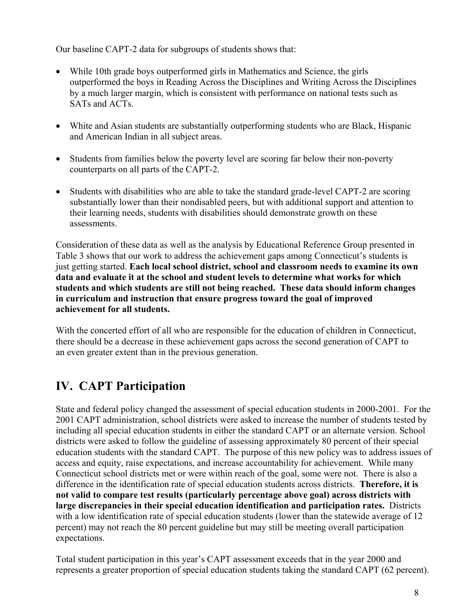Our baseline CAPT-2 data for subgroups of students shows that:

- While 10th grade boys outperformed girls in Mathematics and Science, the girls outperformed the boys in Reading Across the Disciplines and Writing Across the Disciplines by a much larger margin, which is consistent with performance on national tests such as SATs and ACTs.
- White and Asian students are substantially outperforming students who are Black, Hispanic and American Indian in all subject areas.
- Students from families below the poverty level are scoring far below their non-poverty counterparts on all parts of the CAPT-2.
- Students with disabilities who are able to take the standard grade-level CAPT-2 are scoring substantially lower than their nondisabled peers, but with additional support and attention to their learning needs, students with disabilities should demonstrate growth on these assessments.

Consideration of these data as well as the analysis by Educational Reference Group presented in Table 3 shows that our work to address the achievement gaps among Connecticut's students is just getting started. **Each local school district, school and classroom needs to examine its own data and evaluate it at the school and student levels to determine what works for which students and which students are still not being reached. These data should inform changes in curriculum and instruction that ensure progress toward the goal of improved achievement for all students.** 

With the concerted effort of all who are responsible for the education of children in Connecticut, there should be a decrease in these achievement gaps across the second generation of CAPT to an even greater extent than in the previous generation.

## **IV. CAPT Participation**

State and federal policy changed the assessment of special education students in 2000-2001. For the 2001 CAPT administration, school districts were asked to increase the number of students tested by including all special education students in either the standard CAPT or an alternate version. School districts were asked to follow the guideline of assessing approximately 80 percent of their special education students with the standard CAPT. The purpose of this new policy was to address issues of access and equity, raise expectations, and increase accountability for achievement. While many Connecticut school districts met or were within reach of the goal, some were not. There is also a difference in the identification rate of special education students across districts. **Therefore, it is not valid to compare test results (particularly percentage above goal) across districts with large discrepancies in their special education identification and participation rates.** Districts with a low identification rate of special education students (lower than the statewide average of 12 percent) may not reach the 80 percent guideline but may still be meeting overall participation expectations.

Total student participation in this year's CAPT assessment exceeds that in the year 2000 and represents a greater proportion of special education students taking the standard CAPT (62 percent).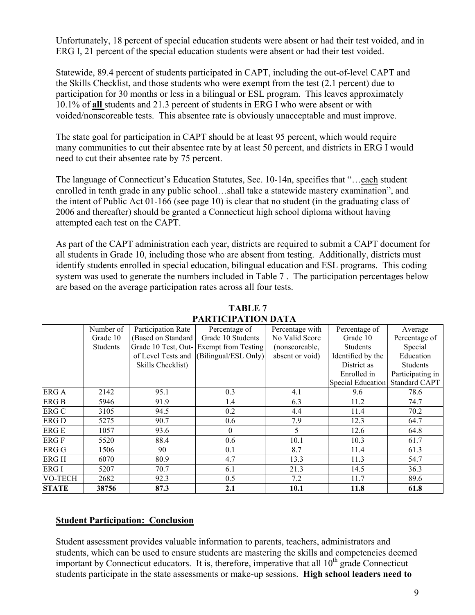Unfortunately, 18 percent of special education students were absent or had their test voided, and in ERG I, 21 percent of the special education students were absent or had their test voided.

Statewide, 89.4 percent of students participated in CAPT, including the out-of-level CAPT and the Skills Checklist, and those students who were exempt from the test (2.1 percent) due to participation for 30 months or less in a bilingual or ESL program. This leaves approximately 10.1% of **all** students and 21.3 percent of students in ERG I who were absent or with voided/nonscoreable tests. This absentee rate is obviously unacceptable and must improve.

The state goal for participation in CAPT should be at least 95 percent, which would require many communities to cut their absentee rate by at least 50 percent, and districts in ERG I would need to cut their absentee rate by 75 percent.

The language of Connecticut's Education Statutes, Sec. 10-14n, specifies that "…each student enrolled in tenth grade in any public school…shall take a statewide mastery examination", and the intent of Public Act 01-166 (see page 10) is clear that no student (in the graduating class of 2006 and thereafter) should be granted a Connecticut high school diploma without having attempted each test on the CAPT.

As part of the CAPT administration each year, districts are required to submit a CAPT document for all students in Grade 10, including those who are absent from testing. Additionally, districts must identify students enrolled in special education, bilingual education and ESL programs. This coding system was used to generate the numbers included in Table 7 . The participation percentages below are based on the average participation rates across all four tests.

|                | Number of       | Participation Rate | Percentage of                           | Percentage with | Percentage of            | Average          |
|----------------|-----------------|--------------------|-----------------------------------------|-----------------|--------------------------|------------------|
|                | Grade 10        | (Based on Standard | Grade 10 Students                       | No Valid Score  | Grade 10                 | Percentage of    |
|                | <b>Students</b> |                    | Grade 10 Test, Out-Exempt from Testing  | (nonscoreable,  | <b>Students</b>          | Special          |
|                |                 |                    | of Level Tests and (Bilingual/ESL Only) | absent or void) | Identified by the        | Education        |
|                |                 | Skills Checklist)  |                                         |                 | District as              | <b>Students</b>  |
|                |                 |                    |                                         |                 | Enrolled in              | Participating in |
|                |                 |                    |                                         |                 | <b>Special Education</b> | Standard CAPT    |
| ERG A          | 2142            | 95.1               | 0.3                                     | 4.1             | 9.6                      | 78.6             |
| <b>ERG B</b>   | 5946            | 91.9               | 1.4                                     | 6.3             | 11.2                     | 74.7             |
| <b>ERG C</b>   | 3105            | 94.5               | 0.2                                     | 4.4             | 11.4                     | 70.2             |
| <b>ERG D</b>   | 5275            | 90.7               | 0.6                                     | 7.9             | 12.3                     | 64.7             |
| <b>ERGE</b>    | 1057            | 93.6               | $\theta$                                | 5               | 12.6                     | 64.8             |
| <b>ERGF</b>    | 5520            | 88.4               | 0.6                                     | 10.1            | 10.3                     | 61.7             |
| <b>ERG G</b>   | 1506            | 90                 | 0.1                                     | 8.7             | 11.4                     | 61.3             |
| <b>ERGH</b>    | 6070            | 80.9               | 4.7                                     | 13.3            | 11.3                     | 54.7             |
| ERG I          | 5207            | 70.7               | 6.1                                     | 21.3            | 14.5                     | 36.3             |
| <b>VO-TECH</b> | 2682            | 92.3               | 0.5                                     | 7.2             | 11.7                     | 89.6             |
| <b>STATE</b>   | 38756           | 87.3               | 2.1                                     | 10.1            | 11.8                     | 61.8             |

**TABLE 7 PARTICIPATION DATA** 

#### **Student Participation: Conclusion**

Student assessment provides valuable information to parents, teachers, administrators and students, which can be used to ensure students are mastering the skills and competencies deemed important by Connecticut educators. It is, therefore, imperative that all  $10<sup>th</sup>$  grade Connecticut students participate in the state assessments or make-up sessions. **High school leaders need to**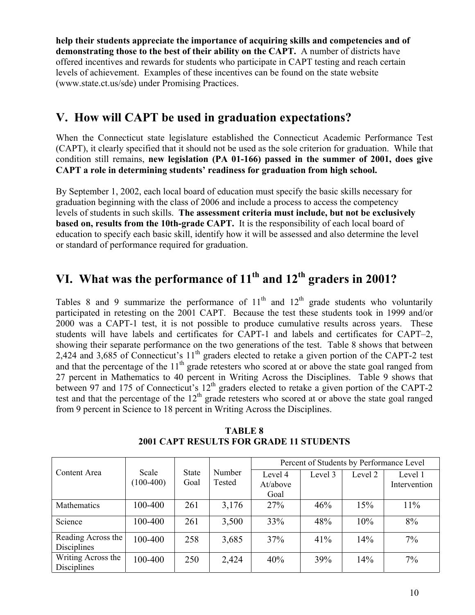**help their students appreciate the importance of acquiring skills and competencies and of demonstrating those to the best of their ability on the CAPT.** A number of districts have offered incentives and rewards for students who participate in CAPT testing and reach certain levels of achievement. Examples of these incentives can be found on the state website (www.state.ct.us/sde) under Promising Practices.

## **V. How will CAPT be used in graduation expectations?**

When the Connecticut state legislature established the Connecticut Academic Performance Test (CAPT), it clearly specified that it should not be used as the sole criterion for graduation. While that condition still remains, **new legislation (PA 01-166) passed in the summer of 2001, does give CAPT a role in determining students' readiness for graduation from high school.** 

By September 1, 2002, each local board of education must specify the basic skills necessary for graduation beginning with the class of 2006 and include a process to access the competency levels of students in such skills. **The assessment criteria must include, but not be exclusively based on, results from the 10th-grade CAPT.** It is the responsibility of each local board of education to specify each basic skill, identify how it will be assessed and also determine the level or standard of performance required for graduation.

# VI. What was the performance of 11<sup>th</sup> and 12<sup>th</sup> graders in 2001?

Tables 8 and 9 summarize the performance of  $11<sup>th</sup>$  and  $12<sup>th</sup>$  grade students who voluntarily participated in retesting on the 2001 CAPT. Because the test these students took in 1999 and/or 2000 was a CAPT-1 test, it is not possible to produce cumulative results across years. These students will have labels and certificates for CAPT-1 and labels and certificates for CAPT–2, showing their separate performance on the two generations of the test. Table 8 shows that between 2,424 and 3,685 of Connecticut's 11<sup>th</sup> graders elected to retake a given portion of the CAPT-2 test and that the percentage of the  $11<sup>th</sup>$  grade retesters who scored at or above the state goal ranged from 27 percent in Mathematics to 40 percent in Writing Across the Disciplines. Table 9 shows that between 97 and 175 of Connecticut's 12<sup>th</sup> graders elected to retake a given portion of the CAPT-2 test and that the percentage of the  $12<sup>th</sup>$  grade retesters who scored at or above the state goal ranged from 9 percent in Science to 18 percent in Writing Across the Disciplines.

|                                          |                      |                      |                  | Percent of Students by Performance Level |         |         |                         |  |  |
|------------------------------------------|----------------------|----------------------|------------------|------------------------------------------|---------|---------|-------------------------|--|--|
| Content Area                             | Scale<br>$(100-400)$ | <b>State</b><br>Goal | Number<br>Tested | Level 4<br>At/above<br>Goal              | Level 3 | Level 2 | Level 1<br>Intervention |  |  |
| Mathematics                              | 100-400              | 261                  | 3,176            | 27%                                      | 46%     | 15%     | 11%                     |  |  |
| Science                                  | 100-400              | 261                  | 3,500            | 33%                                      | 48%     | 10%     | 8%                      |  |  |
| Reading Across the<br>Disciplines        | 100-400              | 258                  | 3,685            | 37%                                      | 41%     | 14%     | 7%                      |  |  |
| Writing Across the<br><b>Disciplines</b> | 100-400              | 250                  | 2,424            | 40%                                      | 39%     | 14%     | $7\%$                   |  |  |

**TABLE 8 2001 CAPT RESULTS FOR GRADE 11 STUDENTS**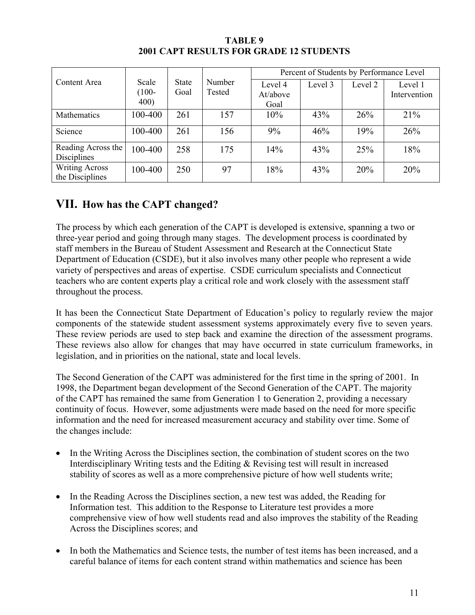|                                          |          |       |        | Percent of Students by Performance Level |         |         |              |  |  |
|------------------------------------------|----------|-------|--------|------------------------------------------|---------|---------|--------------|--|--|
| Content Area                             | Scale    | State | Number | Level 4                                  | Level 3 | Level 2 | Level 1      |  |  |
|                                          | $(100 -$ | Goal  | Tested | At/above                                 |         |         | Intervention |  |  |
|                                          | 400)     |       |        | Goal                                     |         |         |              |  |  |
| Mathematics                              | 100-400  | 261   | 157    | 10%                                      | 43%     | 26%     | 21%          |  |  |
| Science                                  | 100-400  | 261   | 156    | 9%                                       | 46%     | 19%     | 26%          |  |  |
| Reading Across the                       | 100-400  | 258   | 175    | 14%                                      | 43%     | 25%     | 18%          |  |  |
| Disciplines                              |          |       |        |                                          |         |         |              |  |  |
| <b>Writing Across</b><br>the Disciplines | 100-400  | 250   | 97     | 18%                                      | 43%     | 20%     | 20%          |  |  |

**TABLE 9 2001 CAPT RESULTS FOR GRADE 12 STUDENTS** 

### **VII. How has the CAPT changed?**

The process by which each generation of the CAPT is developed is extensive, spanning a two or three-year period and going through many stages. The development process is coordinated by staff members in the Bureau of Student Assessment and Research at the Connecticut State Department of Education (CSDE), but it also involves many other people who represent a wide variety of perspectives and areas of expertise. CSDE curriculum specialists and Connecticut teachers who are content experts play a critical role and work closely with the assessment staff throughout the process.

It has been the Connecticut State Department of Education's policy to regularly review the major components of the statewide student assessment systems approximately every five to seven years. These review periods are used to step back and examine the direction of the assessment programs. These reviews also allow for changes that may have occurred in state curriculum frameworks, in legislation, and in priorities on the national, state and local levels.

The Second Generation of the CAPT was administered for the first time in the spring of 2001. In 1998, the Department began development of the Second Generation of the CAPT. The majority of the CAPT has remained the same from Generation 1 to Generation 2, providing a necessary continuity of focus. However, some adjustments were made based on the need for more specific information and the need for increased measurement accuracy and stability over time. Some of the changes include:

- In the Writing Across the Disciplines section, the combination of student scores on the two Interdisciplinary Writing tests and the Editing & Revising test will result in increased stability of scores as well as a more comprehensive picture of how well students write;
- In the Reading Across the Disciplines section, a new test was added, the Reading for Information test. This addition to the Response to Literature test provides a more comprehensive view of how well students read and also improves the stability of the Reading Across the Disciplines scores; and
- In both the Mathematics and Science tests, the number of test items has been increased, and a careful balance of items for each content strand within mathematics and science has been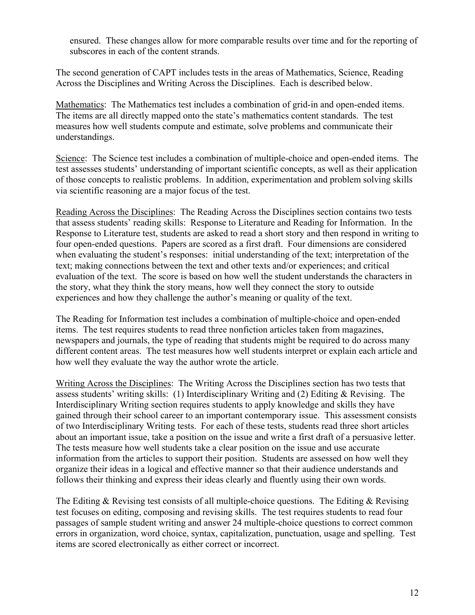ensured. These changes allow for more comparable results over time and for the reporting of subscores in each of the content strands.

The second generation of CAPT includes tests in the areas of Mathematics, Science, Reading Across the Disciplines and Writing Across the Disciplines. Each is described below.

Mathematics: The Mathematics test includes a combination of grid-in and open-ended items. The items are all directly mapped onto the state's mathematics content standards. The test measures how well students compute and estimate, solve problems and communicate their understandings.

Science: The Science test includes a combination of multiple-choice and open-ended items. The test assesses students' understanding of important scientific concepts, as well as their application of those concepts to realistic problems. In addition, experimentation and problem solving skills via scientific reasoning are a major focus of the test.

Reading Across the Disciplines: The Reading Across the Disciplines section contains two tests that assess students' reading skills: Response to Literature and Reading for Information. In the Response to Literature test, students are asked to read a short story and then respond in writing to four open-ended questions. Papers are scored as a first draft. Four dimensions are considered when evaluating the student's responses: initial understanding of the text; interpretation of the text; making connections between the text and other texts and/or experiences; and critical evaluation of the text. The score is based on how well the student understands the characters in the story, what they think the story means, how well they connect the story to outside experiences and how they challenge the author's meaning or quality of the text.

The Reading for Information test includes a combination of multiple-choice and open-ended items. The test requires students to read three nonfiction articles taken from magazines, newspapers and journals, the type of reading that students might be required to do across many different content areas. The test measures how well students interpret or explain each article and how well they evaluate the way the author wrote the article.

Writing Across the Disciplines: The Writing Across the Disciplines section has two tests that assess students' writing skills: (1) Interdisciplinary Writing and (2) Editing & Revising. The Interdisciplinary Writing section requires students to apply knowledge and skills they have gained through their school career to an important contemporary issue. This assessment consists of two Interdisciplinary Writing tests. For each of these tests, students read three short articles about an important issue, take a position on the issue and write a first draft of a persuasive letter. The tests measure how well students take a clear position on the issue and use accurate information from the articles to support their position. Students are assessed on how well they organize their ideas in a logical and effective manner so that their audience understands and follows their thinking and express their ideas clearly and fluently using their own words.

The Editing  $\&$  Revising test consists of all multiple-choice questions. The Editing  $\&$  Revising test focuses on editing, composing and revising skills. The test requires students to read four passages of sample student writing and answer 24 multiple-choice questions to correct common errors in organization, word choice, syntax, capitalization, punctuation, usage and spelling. Test items are scored electronically as either correct or incorrect.